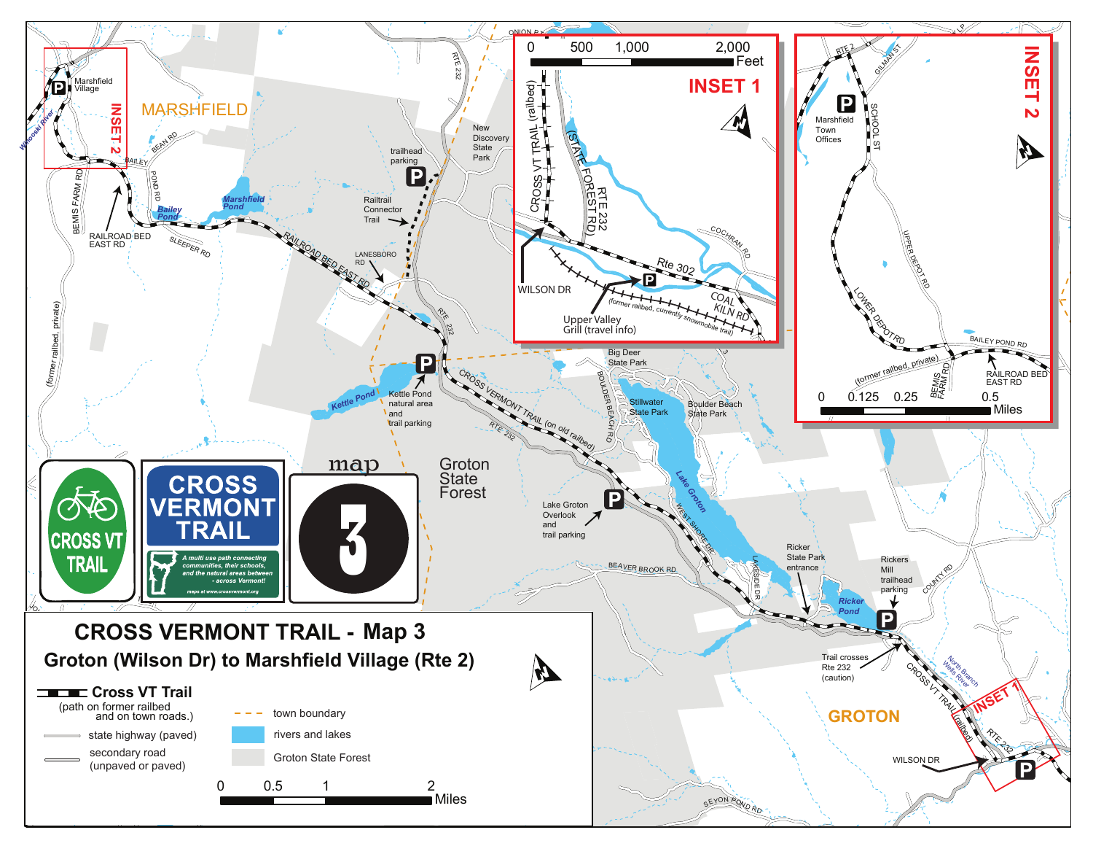